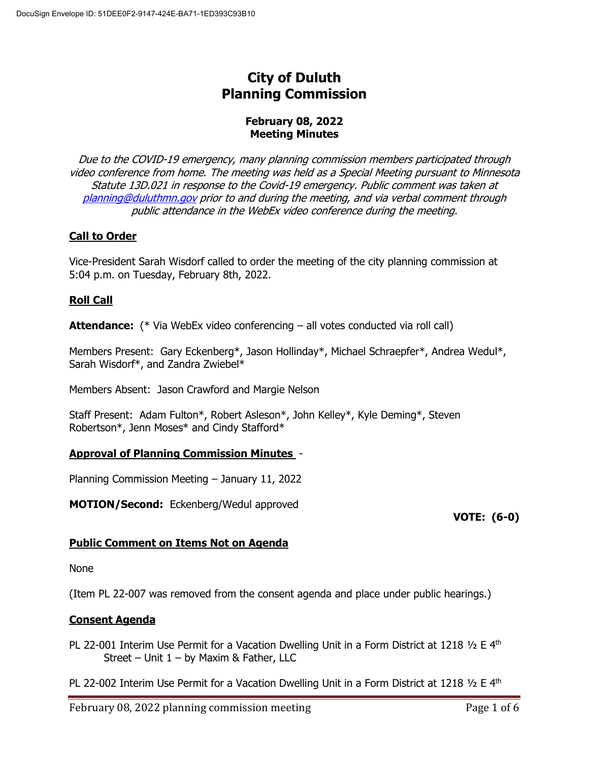# **City of Duluth Planning Commission**

## **February 08, 2022 Meeting Minutes**

Due to the COVID-19 emergency, many planning commission members participated through video conference from home. The meeting was held as a Special Meeting pursuant to Minnesota Statute 13D.021 in response to the Covid-19 emergency. Public comment was taken at [planning@duluthmn.gov](mailto:planning@duluthmn.gov) prior to and during the meeting, and via verbal comment through public attendance in the WebEx video conference during the meeting.

# **Call to Order**

Vice-President Sarah Wisdorf called to order the meeting of the city planning commission at 5:04 p.m. on Tuesday, February 8th, 2022.

# **Roll Call**

**Attendance:** (\* Via WebEx video conferencing – all votes conducted via roll call)

Members Present: Gary Eckenberg\*, Jason Hollinday\*, Michael Schraepfer\*, Andrea Wedul\*, Sarah Wisdorf\*, and Zandra Zwiebel\*

Members Absent: Jason Crawford and Margie Nelson

Staff Present: Adam Fulton\*, Robert Asleson\*, John Kelley\*, Kyle Deming\*, Steven Robertson\*, Jenn Moses\* and Cindy Stafford\*

# **Approval of Planning Commission Minutes** -

Planning Commission Meeting – January 11, 2022

**MOTION/Second:** Eckenberg/Wedul approved

**VOTE: (6-0)**

# **Public Comment on Items Not on Agenda**

None

(Item PL 22-007 was removed from the consent agenda and place under public hearings.)

# **Consent Agenda**

PL 22-001 Interim Use Permit for a Vacation Dwelling Unit in a Form District at 1218  $1/2$  E 4<sup>th</sup> Street – Unit 1 – by Maxim & Father, LLC

PL 22-002 Interim Use Permit for a Vacation Dwelling Unit in a Form District at 1218  $\frac{1}{2}$  E 4<sup>th</sup>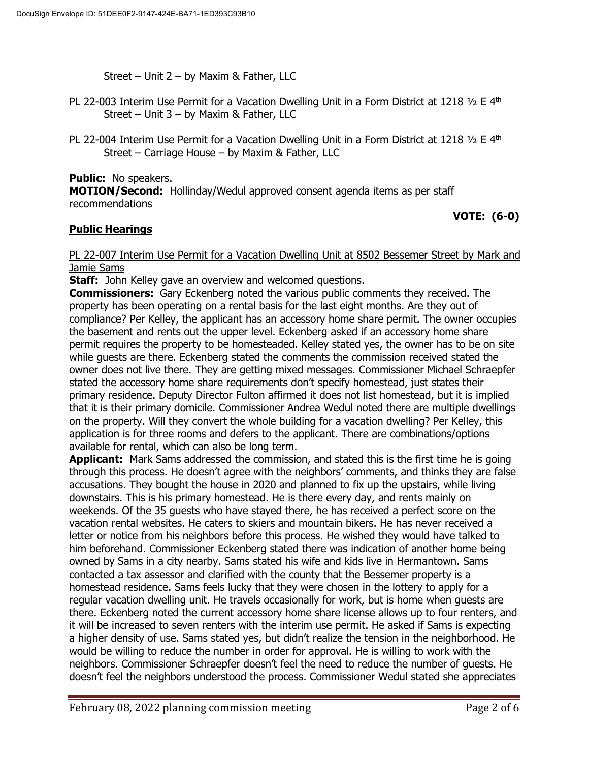Street – Unit 2 – by Maxim & Father, LLC

- PL 22-003 Interim Use Permit for a Vacation Dwelling Unit in a Form District at 1218  $\frac{1}{2}$  E 4<sup>th</sup> Street – Unit 3 – by Maxim & Father, LLC
- PL 22-004 Interim Use Permit for a Vacation Dwelling Unit in a Form District at 1218  $\frac{1}{2}$  E 4<sup>th</sup> Street – Carriage House – by Maxim & Father, LLC

**Public:** No speakers. **MOTION/Second:** Hollinday/Wedul approved consent agenda items as per staff recommendations

**VOTE: (6-0)**

# **Public Hearings**

#### PL 22-007 Interim Use Permit for a Vacation Dwelling Unit at 8502 Bessemer Street by Mark and Jamie Sams

**Staff:** John Kelley gave an overview and welcomed questions.

**Commissioners:** Gary Eckenberg noted the various public comments they received. The property has been operating on a rental basis for the last eight months. Are they out of compliance? Per Kelley, the applicant has an accessory home share permit. The owner occupies the basement and rents out the upper level. Eckenberg asked if an accessory home share permit requires the property to be homesteaded. Kelley stated yes, the owner has to be on site while guests are there. Eckenberg stated the comments the commission received stated the owner does not live there. They are getting mixed messages. Commissioner Michael Schraepfer stated the accessory home share requirements don't specify homestead, just states their primary residence. Deputy Director Fulton affirmed it does not list homestead, but it is implied that it is their primary domicile. Commissioner Andrea Wedul noted there are multiple dwellings on the property. Will they convert the whole building for a vacation dwelling? Per Kelley, this application is for three rooms and defers to the applicant. There are combinations/options available for rental, which can also be long term.

**Applicant:** Mark Sams addressed the commission, and stated this is the first time he is going through this process. He doesn't agree with the neighbors' comments, and thinks they are false accusations. They bought the house in 2020 and planned to fix up the upstairs, while living downstairs. This is his primary homestead. He is there every day, and rents mainly on weekends. Of the 35 guests who have stayed there, he has received a perfect score on the vacation rental websites. He caters to skiers and mountain bikers. He has never received a letter or notice from his neighbors before this process. He wished they would have talked to him beforehand. Commissioner Eckenberg stated there was indication of another home being owned by Sams in a city nearby. Sams stated his wife and kids live in Hermantown. Sams contacted a tax assessor and clarified with the county that the Bessemer property is a homestead residence. Sams feels lucky that they were chosen in the lottery to apply for a regular vacation dwelling unit. He travels occasionally for work, but is home when guests are there. Eckenberg noted the current accessory home share license allows up to four renters, and it will be increased to seven renters with the interim use permit. He asked if Sams is expecting a higher density of use. Sams stated yes, but didn't realize the tension in the neighborhood. He would be willing to reduce the number in order for approval. He is willing to work with the neighbors. Commissioner Schraepfer doesn't feel the need to reduce the number of guests. He doesn't feel the neighbors understood the process. Commissioner Wedul stated she appreciates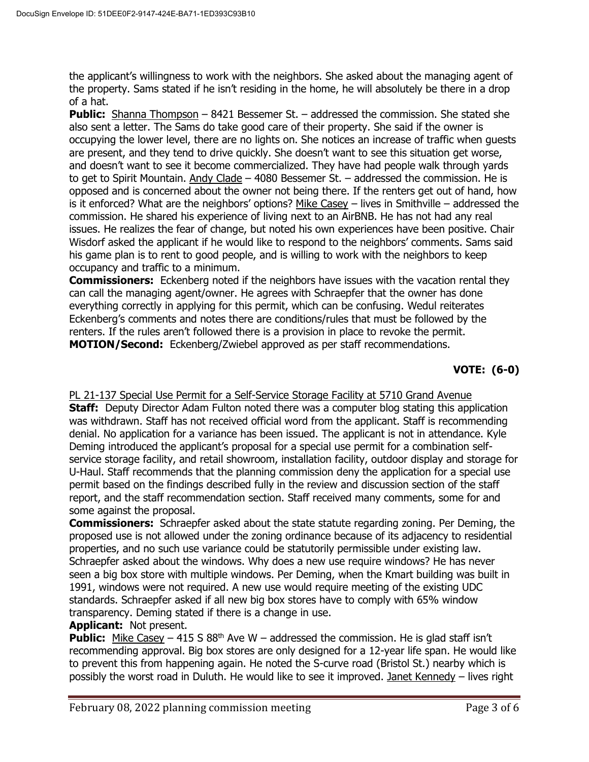the applicant's willingness to work with the neighbors. She asked about the managing agent of the property. Sams stated if he isn't residing in the home, he will absolutely be there in a drop of a hat.

**Public:** Shanna Thompson – 8421 Bessemer St. – addressed the commission. She stated she also sent a letter. The Sams do take good care of their property. She said if the owner is occupying the lower level, there are no lights on. She notices an increase of traffic when guests are present, and they tend to drive quickly. She doesn't want to see this situation get worse, and doesn't want to see it become commercialized. They have had people walk through yards to get to Spirit Mountain. Andy Clade  $-$  4080 Bessemer St.  $-$  addressed the commission. He is opposed and is concerned about the owner not being there. If the renters get out of hand, how is it enforced? What are the neighbors' options? Mike Casey – lives in Smithville – addressed the commission. He shared his experience of living next to an AirBNB. He has not had any real issues. He realizes the fear of change, but noted his own experiences have been positive. Chair Wisdorf asked the applicant if he would like to respond to the neighbors' comments. Sams said his game plan is to rent to good people, and is willing to work with the neighbors to keep occupancy and traffic to a minimum.

**Commissioners:** Eckenberg noted if the neighbors have issues with the vacation rental they can call the managing agent/owner. He agrees with Schraepfer that the owner has done everything correctly in applying for this permit, which can be confusing. Wedul reiterates Eckenberg's comments and notes there are conditions/rules that must be followed by the renters. If the rules aren't followed there is a provision in place to revoke the permit. **MOTION/Second:** Eckenberg/Zwiebel approved as per staff recommendations.

# **VOTE: (6-0)**

PL 21-137 Special Use Permit for a Self-Service Storage Facility at 5710 Grand Avenue **Staff:** Deputy Director Adam Fulton noted there was a computer blog stating this application was withdrawn. Staff has not received official word from the applicant. Staff is recommending denial. No application for a variance has been issued. The applicant is not in attendance. Kyle Deming introduced the applicant's proposal for a special use permit for a combination selfservice storage facility, and retail showroom, installation facility, outdoor display and storage for U-Haul. Staff recommends that the planning commission deny the application for a special use permit based on the findings described fully in the review and discussion section of the staff report, and the staff recommendation section. Staff received many comments, some for and some against the proposal.

**Commissioners:** Schraepfer asked about the state statute regarding zoning. Per Deming, the proposed use is not allowed under the zoning ordinance because of its adjacency to residential properties, and no such use variance could be statutorily permissible under existing law. Schraepfer asked about the windows. Why does a new use require windows? He has never seen a big box store with multiple windows. Per Deming, when the Kmart building was built in 1991, windows were not required. A new use would require meeting of the existing UDC standards. Schraepfer asked if all new big box stores have to comply with 65% window transparency. Deming stated if there is a change in use.

# **Applicant:** Not present.

**Public:** Mike Casey – 415 S  $88<sup>th</sup>$  Ave W – addressed the commission. He is glad staff isn't recommending approval. Big box stores are only designed for a 12-year life span. He would like to prevent this from happening again. He noted the S-curve road (Bristol St.) nearby which is possibly the worst road in Duluth. He would like to see it improved. Janet Kennedy – lives right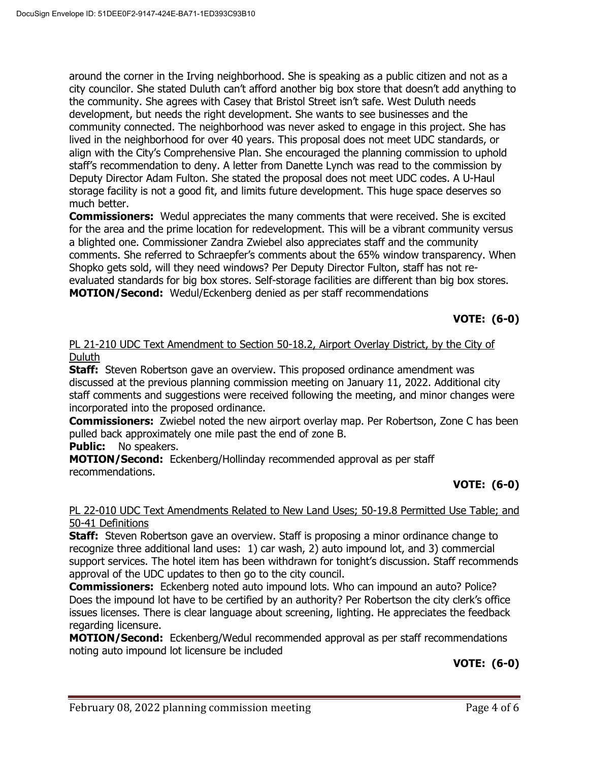around the corner in the Irving neighborhood. She is speaking as a public citizen and not as a city councilor. She stated Duluth can't afford another big box store that doesn't add anything to the community. She agrees with Casey that Bristol Street isn't safe. West Duluth needs development, but needs the right development. She wants to see businesses and the community connected. The neighborhood was never asked to engage in this project. She has lived in the neighborhood for over 40 years. This proposal does not meet UDC standards, or align with the City's Comprehensive Plan. She encouraged the planning commission to uphold staff's recommendation to deny. A letter from Danette Lynch was read to the commission by Deputy Director Adam Fulton. She stated the proposal does not meet UDC codes. A U-Haul storage facility is not a good fit, and limits future development. This huge space deserves so much better.

**Commissioners:** Wedul appreciates the many comments that were received. She is excited for the area and the prime location for redevelopment. This will be a vibrant community versus a blighted one. Commissioner Zandra Zwiebel also appreciates staff and the community comments. She referred to Schraepfer's comments about the 65% window transparency. When Shopko gets sold, will they need windows? Per Deputy Director Fulton, staff has not reevaluated standards for big box stores. Self-storage facilities are different than big box stores. **MOTION/Second:** Wedul/Eckenberg denied as per staff recommendations

## **VOTE: (6-0)**

## PL 21-210 UDC Text Amendment to Section 50-18.2, Airport Overlay District, by the City of Duluth

**Staff:** Steven Robertson gave an overview. This proposed ordinance amendment was discussed at the previous planning commission meeting on January 11, 2022. Additional city staff comments and suggestions were received following the meeting, and minor changes were incorporated into the proposed ordinance.

**Commissioners:** Zwiebel noted the new airport overlay map. Per Robertson, Zone C has been pulled back approximately one mile past the end of zone B.

**Public:** No speakers.

**MOTION/Second:** Eckenberg/Hollinday recommended approval as per staff recommendations.

# **VOTE: (6-0)**

#### PL 22-010 UDC Text Amendments Related to New Land Uses; 50-19.8 Permitted Use Table; and 50-41 Definitions

**Staff:** Steven Robertson gave an overview. Staff is proposing a minor ordinance change to recognize three additional land uses: 1) car wash, 2) auto impound lot, and 3) commercial support services. The hotel item has been withdrawn for tonight's discussion. Staff recommends approval of the UDC updates to then go to the city council.

**Commissioners:** Eckenberg noted auto impound lots. Who can impound an auto? Police? Does the impound lot have to be certified by an authority? Per Robertson the city clerk's office issues licenses. There is clear language about screening, lighting. He appreciates the feedback regarding licensure.

**MOTION/Second:** Eckenberg/Wedul recommended approval as per staff recommendations noting auto impound lot licensure be included

**VOTE: (6-0)**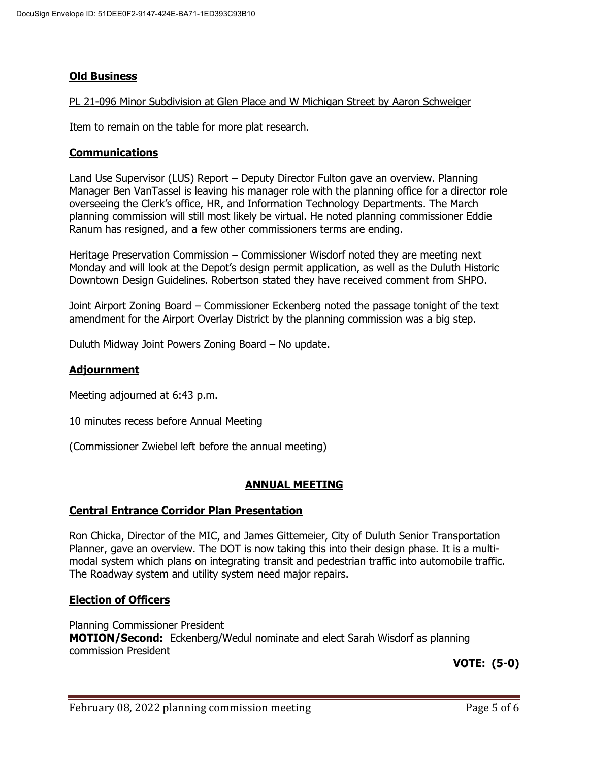## **Old Business**

#### PL 21-096 Minor Subdivision at Glen Place and W Michigan Street by Aaron Schweiger

Item to remain on the table for more plat research.

#### **Communications**

Land Use Supervisor (LUS) Report – Deputy Director Fulton gave an overview. Planning Manager Ben VanTassel is leaving his manager role with the planning office for a director role overseeing the Clerk's office, HR, and Information Technology Departments. The March planning commission will still most likely be virtual. He noted planning commissioner Eddie Ranum has resigned, and a few other commissioners terms are ending.

Heritage Preservation Commission – Commissioner Wisdorf noted they are meeting next Monday and will look at the Depot's design permit application, as well as the Duluth Historic Downtown Design Guidelines. Robertson stated they have received comment from SHPO.

Joint Airport Zoning Board – Commissioner Eckenberg noted the passage tonight of the text amendment for the Airport Overlay District by the planning commission was a big step.

Duluth Midway Joint Powers Zoning Board – No update.

#### **Adjournment**

Meeting adjourned at 6:43 p.m.

10 minutes recess before Annual Meeting

(Commissioner Zwiebel left before the annual meeting)

#### **ANNUAL MEETING**

#### **Central Entrance Corridor Plan Presentation**

Ron Chicka, Director of the MIC, and James Gittemeier, City of Duluth Senior Transportation Planner, gave an overview. The DOT is now taking this into their design phase. It is a multimodal system which plans on integrating transit and pedestrian traffic into automobile traffic. The Roadway system and utility system need major repairs.

#### **Election of Officers**

Planning Commissioner President **MOTION/Second:** Eckenberg/Wedul nominate and elect Sarah Wisdorf as planning commission President

**VOTE: (5-0)**